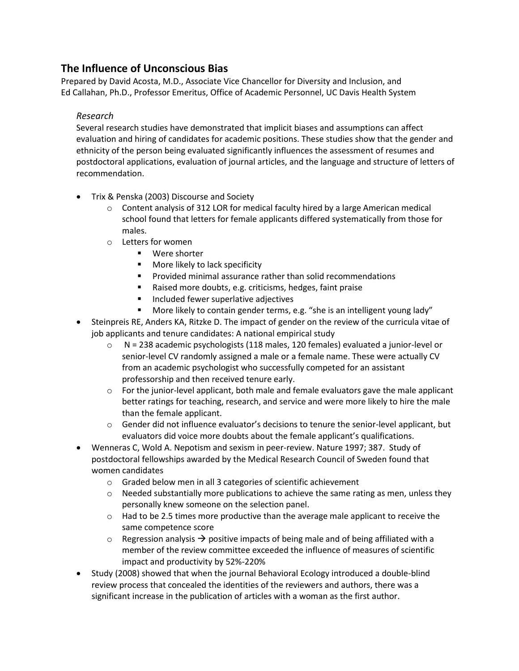## **The Influence of Unconscious Bias**

Prepared by David Acosta, M.D., Associate Vice Chancellor for Diversity and Inclusion, and Ed Callahan, Ph.D., Professor Emeritus, Office of Academic Personnel, UC Davis Health System

## *Research*

Several research studies have demonstrated that implicit biases and assumptions can affect evaluation and hiring of candidates for academic positions. These studies show that the gender and ethnicity of the person being evaluated significantly influences the assessment of resumes and postdoctoral applications, evaluation of journal articles, and the language and structure of letters of recommendation.

- Trix & Penska (2003) Discourse and Society
	- $\circ$  Content analysis of 312 LOR for medical faculty hired by a large American medical school found that letters for female applicants differed systematically from those for males.
	- o Letters for women
		- Were shorter
		- **More likely to lack specificity**
		- **Provided minimal assurance rather than solid recommendations**
		- Raised more doubts, e.g. criticisms, hedges, faint praise
		- **Included fewer superlative adjectives**
		- More likely to contain gender terms, e.g. "she is an intelligent young lady"
- Steinpreis RE, Anders KA, Ritzke D. The impact of gender on the review of the curricula vitae of job applicants and tenure candidates: A national empirical study
	- $\circ$  N = 238 academic psychologists (118 males, 120 females) evaluated a junior-level or senior-level CV randomly assigned a male or a female name. These were actually CV from an academic psychologist who successfully competed for an assistant professorship and then received tenure early.
	- $\circ$  For the junior-level applicant, both male and female evaluators gave the male applicant better ratings for teaching, research, and service and were more likely to hire the male than the female applicant.
	- $\circ$  Gender did not influence evaluator's decisions to tenure the senior-level applicant, but evaluators did voice more doubts about the female applicant's qualifications.
- Wenneras C, Wold A. Nepotism and sexism in peer-review. Nature 1997; 387. Study of postdoctoral fellowships awarded by the Medical Research Council of Sweden found that women candidates
	- o Graded below men in all 3 categories of scientific achievement
	- $\circ$  Needed substantially more publications to achieve the same rating as men, unless they personally knew someone on the selection panel.
	- $\circ$  Had to be 2.5 times more productive than the average male applicant to receive the same competence score
	- $\circ$  Regression analysis  $\rightarrow$  positive impacts of being male and of being affiliated with a member of the review committee exceeded the influence of measures of scientific impact and productivity by 52%-220%
- Study (2008) showed that when the journal Behavioral Ecology introduced a double-blind review process that concealed the identities of the reviewers and authors, there was a significant increase in the publication of articles with a woman as the first author.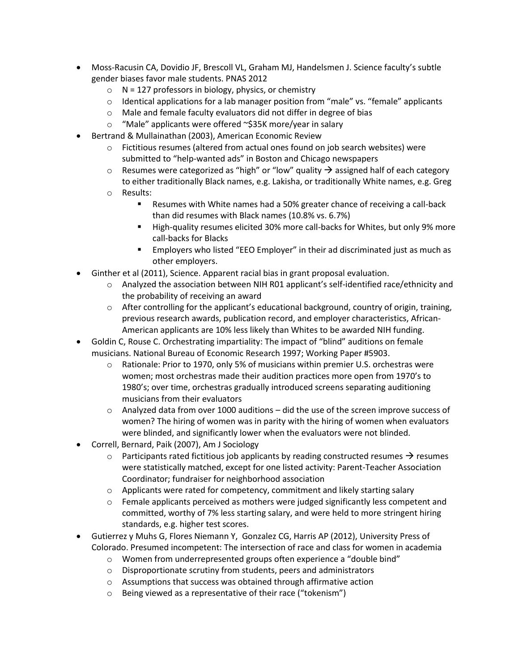- Moss-Racusin CA, Dovidio JF, Brescoll VL, Graham MJ, Handelsmen J. Science faculty's subtle gender biases favor male students. PNAS 2012
	- $\circ$  N = 127 professors in biology, physics, or chemistry
	- o Identical applications for a lab manager position from "male" vs. "female" applicants
	- o Male and female faculty evaluators did not differ in degree of bias
	- o "Male" applicants were offered ~\$35K more/year in salary
- Bertrand & Mullainathan (2003), American Economic Review
	- o Fictitious resumes (altered from actual ones found on job search websites) were submitted to "help-wanted ads" in Boston and Chicago newspapers
	- $\circ$  Resumes were categorized as "high" or "low" quality  $\rightarrow$  assigned half of each category to either traditionally Black names, e.g. Lakisha, or traditionally White names, e.g. Greg
	- o Results:
		- **Resumes with White names had a 50% greater chance of receiving a call-back** than did resumes with Black names (10.8% vs. 6.7%)
		- High-quality resumes elicited 30% more call-backs for Whites, but only 9% more call-backs for Blacks
		- Employers who listed "EEO Employer" in their ad discriminated just as much as other employers.
- Ginther et al (2011), Science. Apparent racial bias in grant proposal evaluation.
	- o Analyzed the association between NIH R01 applicant's self-identified race/ethnicity and the probability of receiving an award
	- $\circ$  After controlling for the applicant's educational background, country of origin, training, previous research awards, publication record, and employer characteristics, African-American applicants are 10% less likely than Whites to be awarded NIH funding.
- Goldin C, Rouse C. Orchestrating impartiality: The impact of "blind" auditions on female musicians. National Bureau of Economic Research 1997; Working Paper #5903.
	- $\circ$  Rationale: Prior to 1970, only 5% of musicians within premier U.S. orchestras were women; most orchestras made their audition practices more open from 1970's to 1980's; over time, orchestras gradually introduced screens separating auditioning musicians from their evaluators
	- $\circ$  Analyzed data from over 1000 auditions did the use of the screen improve success of women? The hiring of women was in parity with the hiring of women when evaluators were blinded, and significantly lower when the evaluators were not blinded.
- Correll, Bernard, Paik (2007), Am J Sociology
	- $\circ$  Participants rated fictitious job applicants by reading constructed resumes  $\rightarrow$  resumes were statistically matched, except for one listed activity: Parent-Teacher Association Coordinator; fundraiser for neighborhood association
	- o Applicants were rated for competency, commitment and likely starting salary
	- $\circ$  Female applicants perceived as mothers were judged significantly less competent and committed, worthy of 7% less starting salary, and were held to more stringent hiring standards, e.g. higher test scores.
- Gutierrez y Muhs G, Flores Niemann Y, Gonzalez CG, Harris AP (2012), University Press of Colorado. Presumed incompetent: The intersection of race and class for women in academia
	- o Women from underrepresented groups often experience a "double bind"
	- o Disproportionate scrutiny from students, peers and administrators
	- o Assumptions that success was obtained through affirmative action
	- o Being viewed as a representative of their race ("tokenism")